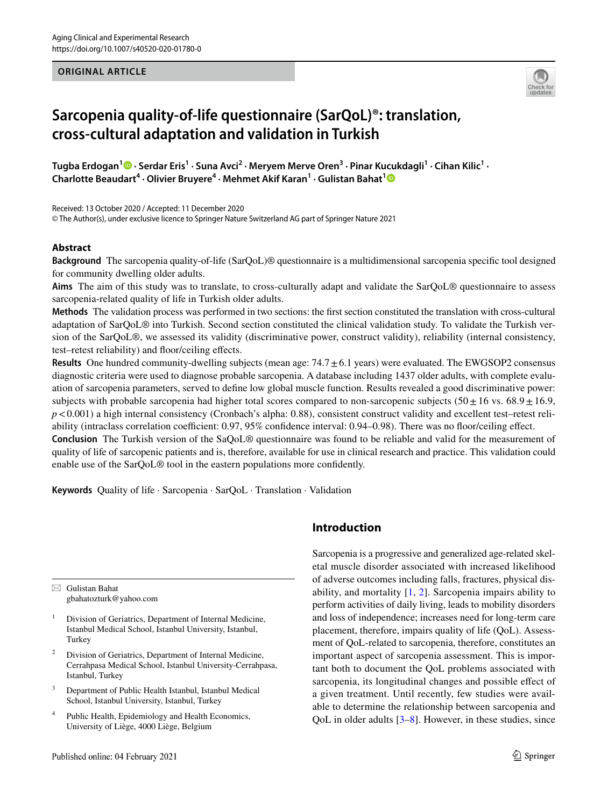## **ORIGINAL ARTICLE**



# **Sarcopenia quality‑of‑life questionnaire (SarQoL)®: translation, cross‑cultural adaptation and validation in Turkish**

 $\bf{T}$ ugbaErdogan $^1\bf{O}$  • Serdar Eris $^1$  • Suna Avci $^2$  • Meryem Merve Oren $^3$  • Pinar Kucukdagli $^1$  • Cihan Kilic $^1$  • **Charlotte Beaudart<sup>4</sup> · Olivier Bruyere4 · Mehmet Akif Karan<sup>1</sup> · Gulistan Bahat[1](http://orcid.org/0000-0001-5343-9795)**

Received: 13 October 2020 / Accepted: 11 December 2020 © The Author(s), under exclusive licence to Springer Nature Switzerland AG part of Springer Nature 2021

# **Abstract**

**Background** The sarcopenia quality-of-life (SarQoL)® questionnaire is a multidimensional sarcopenia specifc tool designed for community dwelling older adults.

**Aims** The aim of this study was to translate, to cross-culturally adapt and validate the SarQoL® questionnaire to assess sarcopenia-related quality of life in Turkish older adults.

**Methods** The validation process was performed in two sections: the frst section constituted the translation with cross-cultural adaptation of SarQoL® into Turkish. Second section constituted the clinical validation study. To validate the Turkish version of the SarQoL®, we assessed its validity (discriminative power, construct validity), reliability (internal consistency, test–retest reliability) and foor/ceiling efects.

**Results** One hundred community-dwelling subjects (mean age: 74.7 $\pm$ 6.1 years) were evaluated. The EWGSOP2 consensus diagnostic criteria were used to diagnose probable sarcopenia. A database including 1437 older adults, with complete evaluation of sarcopenia parameters, served to defne low global muscle function. Results revealed a good discriminative power: subjects with probable sarcopenia had higher total scores compared to non-sarcopenic subjects (50 $\pm$ 16 vs. 68.9 $\pm$ 16.9, *p*<0.001) a high internal consistency (Cronbach's alpha: 0.88), consistent construct validity and excellent test–retest reliability (intraclass correlation coefficient: 0.97, 95% confidence interval: 0.94–0.98). There was no floor/ceiling effect. **Conclusion** The Turkish version of the SaQoL® questionnaire was found to be reliable and valid for the measurement of quality of life of sarcopenic patients and is, therefore, available for use in clinical research and practice. This validation could enable use of the SarQoL® tool in the eastern populations more confdently.

**Keywords** Quality of life · Sarcopenia · SarQoL · Translation · Validation

 $\boxtimes$  Gulistan Bahat gbahatozturk@yahoo.com

- <sup>1</sup> Division of Geriatrics, Department of Internal Medicine, Istanbul Medical School, Istanbul University, Istanbul, **Turkey**
- <sup>2</sup> Division of Geriatrics, Department of Internal Medicine, Cerrahpasa Medical School, Istanbul University-Cerrahpasa, Istanbul, Turkey
- <sup>3</sup> Department of Public Health Istanbul, Istanbul Medical School, Istanbul University, Istanbul, Turkey
- <sup>4</sup> Public Health, Epidemiology and Health Economics, University of Liège, 4000 Liège, Belgium

# **Introduction**

Sarcopenia is a progressive and generalized age-related skeletal muscle disorder associated with increased likelihood of adverse outcomes including falls, fractures, physical disability, and mortality  $[1, 2]$  $[1, 2]$  $[1, 2]$  $[1, 2]$ . Sarcopenia impairs ability to perform activities of daily living, leads to mobility disorders and loss of independence; increases need for long-term care placement, therefore, impairs quality of life (QoL). Assessment of QoL-related to sarcopenia, therefore, constitutes an important aspect of sarcopenia assessment. This is important both to document the QoL problems associated with sarcopenia, its longitudinal changes and possible efect of a given treatment. Until recently, few studies were available to determine the relationship between sarcopenia and QoL in older adults [\[3](#page-7-2)–[8\]](#page-8-0). However, in these studies, since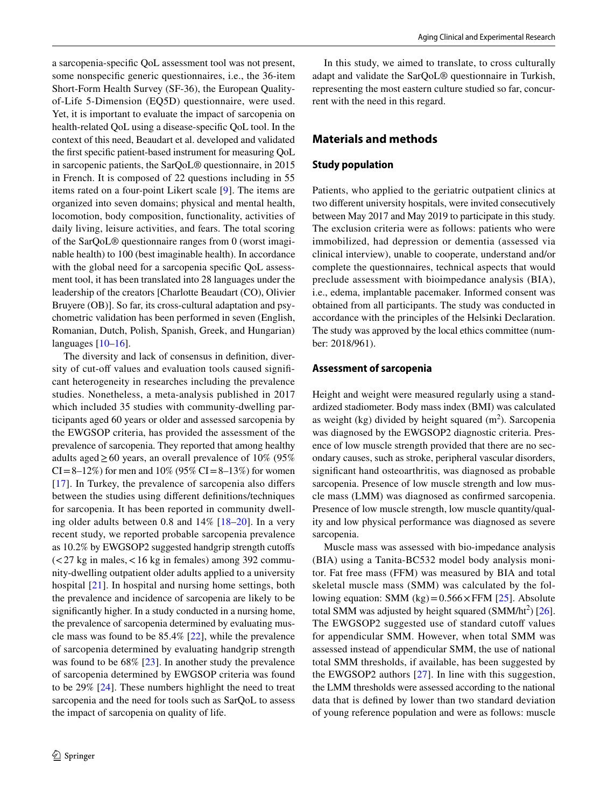a sarcopenia-specifc QoL assessment tool was not present, some nonspecifc generic questionnaires, i.e., the 36-item Short-Form Health Survey (SF-36), the European Qualityof-Life 5-Dimension (EQ5D) questionnaire, were used. Yet, it is important to evaluate the impact of sarcopenia on health-related QoL using a disease-specifc QoL tool. In the context of this need, Beaudart et al. developed and validated the frst specifc patient-based instrument for measuring QoL in sarcopenic patients, the SarQoL® questionnaire, in 2015 in French. It is composed of 22 questions including in 55 items rated on a four-point Likert scale [[9\]](#page-8-1). The items are organized into seven domains; physical and mental health, locomotion, body composition, functionality, activities of daily living, leisure activities, and fears. The total scoring of the SarQoL® questionnaire ranges from 0 (worst imaginable health) to 100 (best imaginable health). In accordance with the global need for a sarcopenia specifc QoL assessment tool, it has been translated into 28 languages under the leadership of the creators [Charlotte Beaudart (CO), Olivier Bruyere (OB)]. So far, its cross-cultural adaptation and psychometric validation has been performed in seven (English, Romanian, Dutch, Polish, Spanish, Greek, and Hungarian) languages [\[10](#page-8-2)[–16](#page-8-3)].

The diversity and lack of consensus in defnition, diversity of cut-off values and evaluation tools caused significant heterogeneity in researches including the prevalence studies. Nonetheless, a meta-analysis published in 2017 which included 35 studies with community-dwelling participants aged 60 years or older and assessed sarcopenia by the EWGSOP criteria, has provided the assessment of the prevalence of sarcopenia. They reported that among healthy adults aged  $\geq 60$  years, an overall prevalence of 10% (95%)  $CI = 8-12\%$  for men and 10% (95%  $CI = 8-13\%$ ) for women [[17\]](#page-8-4). In Turkey, the prevalence of sarcopenia also difers between the studies using diferent defnitions/techniques for sarcopenia. It has been reported in community dwelling older adults between 0.8 and 14% [\[18–](#page-8-5)[20](#page-8-6)]. In a very recent study, we reported probable sarcopenia prevalence as 10.2% by EWGSOP2 suggested handgrip strength cutofs  $\left($  < 27 kg in males, < 16 kg in females) among 392 community-dwelling outpatient older adults applied to a university hospital [\[21](#page-8-7)]. In hospital and nursing home settings, both the prevalence and incidence of sarcopenia are likely to be signifcantly higher. In a study conducted in a nursing home, the prevalence of sarcopenia determined by evaluating muscle mass was found to be 85.4% [[22\]](#page-8-8), while the prevalence of sarcopenia determined by evaluating handgrip strength was found to be 68% [\[23](#page-8-9)]. In another study the prevalence of sarcopenia determined by EWGSOP criteria was found to be 29% [\[24\]](#page-8-10). These numbers highlight the need to treat sarcopenia and the need for tools such as SarQoL to assess the impact of sarcopenia on quality of life.

In this study, we aimed to translate, to cross culturally adapt and validate the SarQoL® questionnaire in Turkish, representing the most eastern culture studied so far, concurrent with the need in this regard.

# **Materials and methods**

## **Study population**

Patients, who applied to the geriatric outpatient clinics at two diferent university hospitals, were invited consecutively between May 2017 and May 2019 to participate in this study. The exclusion criteria were as follows: patients who were immobilized, had depression or dementia (assessed via clinical interview), unable to cooperate, understand and/or complete the questionnaires, technical aspects that would preclude assessment with bioimpedance analysis (BIA), i.e., edema, implantable pacemaker. Informed consent was obtained from all participants. The study was conducted in accordance with the principles of the Helsinki Declaration. The study was approved by the local ethics committee (number: 2018/961).

#### **Assessment of sarcopenia**

Height and weight were measured regularly using a standardized stadiometer. Body mass index (BMI) was calculated as weight (kg) divided by height squared  $(m<sup>2</sup>)$ . Sarcopenia was diagnosed by the EWGSOP2 diagnostic criteria. Presence of low muscle strength provided that there are no secondary causes, such as stroke, peripheral vascular disorders, signifcant hand osteoarthritis, was diagnosed as probable sarcopenia. Presence of low muscle strength and low muscle mass (LMM) was diagnosed as confrmed sarcopenia. Presence of low muscle strength, low muscle quantity/quality and low physical performance was diagnosed as severe sarcopenia.

Muscle mass was assessed with bio-impedance analysis (BIA) using a Tanita-BC532 model body analysis monitor. Fat free mass (FFM) was measured by BIA and total skeletal muscle mass (SMM) was calculated by the following equation: SMM  $(kg) = 0.566 \times FFM$  [[25\]](#page-8-11). Absolute total SMM was adjusted by height squared  $(SMM/ht^2)$  [\[26](#page-8-12)]. The EWGSOP2 suggested use of standard cutoff values for appendicular SMM. However, when total SMM was assessed instead of appendicular SMM, the use of national total SMM thresholds, if available, has been suggested by the EWGSOP2 authors [[27\]](#page-8-13). In line with this suggestion, the LMM thresholds were assessed according to the national data that is defned by lower than two standard deviation of young reference population and were as follows: muscle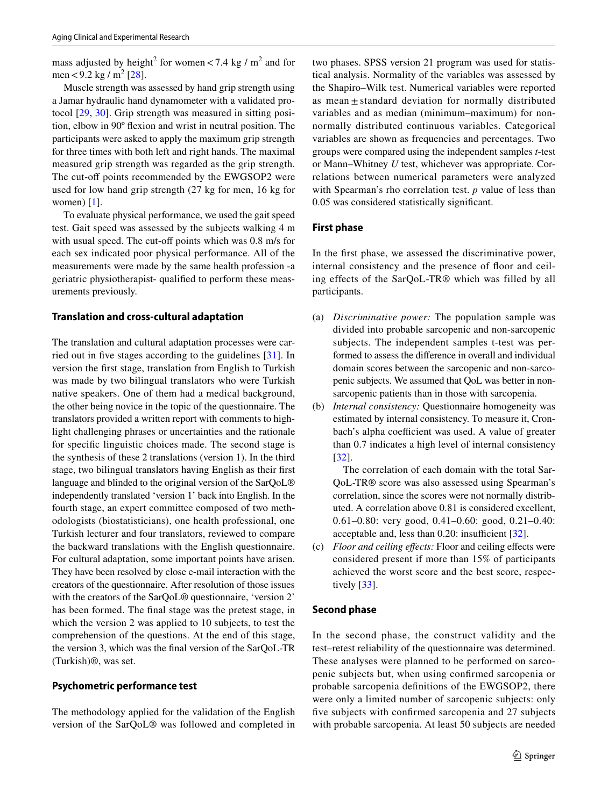mass adjusted by height<sup>2</sup> for women < 7.4 kg /  $m^2$  and for men < 9.2 kg / m<sup>2</sup> [[28\]](#page-8-14).

Muscle strength was assessed by hand grip strength using a Jamar hydraulic hand dynamometer with a validated protocol [[29,](#page-8-15) [30](#page-8-16)]. Grip strength was measured in sitting position, elbow in 90º fexion and wrist in neutral position. The participants were asked to apply the maximum grip strength for three times with both left and right hands. The maximal measured grip strength was regarded as the grip strength. The cut-off points recommended by the EWGSOP2 were used for low hand grip strength (27 kg for men, 16 kg for women) [[1\]](#page-7-0).

To evaluate physical performance, we used the gait speed test. Gait speed was assessed by the subjects walking 4 m with usual speed. The cut-off points which was 0.8 m/s for each sex indicated poor physical performance. All of the measurements were made by the same health profession -a geriatric physiotherapist- qualifed to perform these measurements previously.

#### **Translation and cross‑cultural adaptation**

The translation and cultural adaptation processes were carried out in fve stages according to the guidelines [\[31\]](#page-8-17). In version the frst stage, translation from English to Turkish was made by two bilingual translators who were Turkish native speakers. One of them had a medical background, the other being novice in the topic of the questionnaire. The translators provided a written report with comments to highlight challenging phrases or uncertainties and the rationale for specifc linguistic choices made. The second stage is the synthesis of these 2 translations (version 1). In the third stage, two bilingual translators having English as their frst language and blinded to the original version of the SarQoL® independently translated 'version 1' back into English. In the fourth stage, an expert committee composed of two methodologists (biostatisticians), one health professional, one Turkish lecturer and four translators, reviewed to compare the backward translations with the English questionnaire. For cultural adaptation, some important points have arisen. They have been resolved by close e-mail interaction with the creators of the questionnaire. After resolution of those issues with the creators of the SarQoL® questionnaire, 'version 2' has been formed. The fnal stage was the pretest stage, in which the version 2 was applied to 10 subjects, to test the comprehension of the questions. At the end of this stage, the version 3, which was the fnal version of the SarQoL-TR (Turkish)®, was set.

#### **Psychometric performance test**

The methodology applied for the validation of the English version of the SarQoL® was followed and completed in two phases. SPSS version 21 program was used for statistical analysis. Normality of the variables was assessed by the Shapiro–Wilk test. Numerical variables were reported as mean  $\pm$  standard deviation for normally distributed variables and as median (minimum–maximum) for nonnormally distributed continuous variables. Categorical variables are shown as frequencies and percentages. Two groups were compared using the independent samples *t*-test or Mann–Whitney *U* test, whichever was appropriate. Correlations between numerical parameters were analyzed with Spearman's rho correlation test. *p* value of less than 0.05 was considered statistically signifcant.

#### **First phase**

In the frst phase, we assessed the discriminative power, internal consistency and the presence of floor and ceiling effects of the SarQoL-TR® which was filled by all participants.

- (a) *Discriminative power:* The population sample was divided into probable sarcopenic and non-sarcopenic subjects. The independent samples t-test was performed to assess the diference in overall and individual domain scores between the sarcopenic and non-sarcopenic subjects. We assumed that QoL was better in nonsarcopenic patients than in those with sarcopenia.
- (b) *Internal consistency:* Questionnaire homogeneity was estimated by internal consistency. To measure it, Cronbach's alpha coefficient was used. A value of greater than 0.7 indicates a high level of internal consistency [[32\]](#page-8-18).

 The correlation of each domain with the total Sar-QoL-TR® score was also assessed using Spearman's correlation, since the scores were not normally distributed. A correlation above 0.81 is considered excellent, 0.61–0.80: very good, 0.41–0.60: good, 0.21–0.40: acceptable and, less than  $0.20$ : insufficient  $[32]$  $[32]$ .

(c) *Floor and ceiling efects:* Floor and ceiling efects were considered present if more than 15% of participants achieved the worst score and the best score, respectively [[33\]](#page-8-19).

#### **Second phase**

In the second phase, the construct validity and the test–retest reliability of the questionnaire was determined. These analyses were planned to be performed on sarcopenic subjects but, when using confrmed sarcopenia or probable sarcopenia defnitions of the EWGSOP2, there were only a limited number of sarcopenic subjects: only fve subjects with confrmed sarcopenia and 27 subjects with probable sarcopenia. At least 50 subjects are needed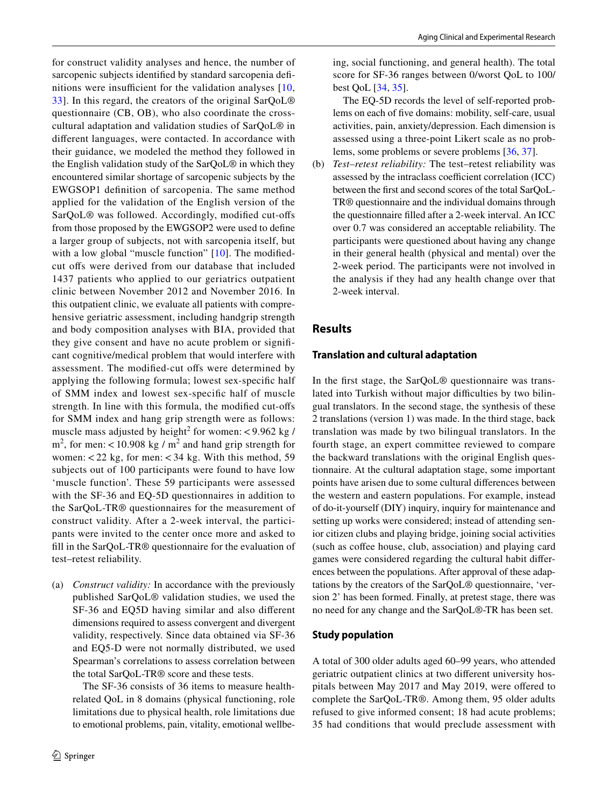for construct validity analyses and hence, the number of sarcopenic subjects identifed by standard sarcopenia defnitions were insufficient for the validation analyses  $[10, 10]$  $[10, 10]$  $[10, 10]$ [33](#page-8-19)]. In this regard, the creators of the original SarQoL® questionnaire (CB, OB), who also coordinate the crosscultural adaptation and validation studies of SarQoL® in diferent languages, were contacted. In accordance with their guidance, we modeled the method they followed in the English validation study of the SarQoL® in which they encountered similar shortage of sarcopenic subjects by the EWGSOP1 defnition of sarcopenia. The same method applied for the validation of the English version of the SarQoL® was followed. Accordingly, modifed cut-ofs from those proposed by the EWGSOP2 were used to defne a larger group of subjects, not with sarcopenia itself, but with a low global "muscle function" [\[10\]](#page-8-2). The modifiedcut offs were derived from our database that included 1437 patients who applied to our geriatrics outpatient clinic between November 2012 and November 2016. In this outpatient clinic, we evaluate all patients with comprehensive geriatric assessment, including handgrip strength and body composition analyses with BIA, provided that they give consent and have no acute problem or signifcant cognitive/medical problem that would interfere with assessment. The modified-cut offs were determined by applying the following formula; lowest sex-specifc half of SMM index and lowest sex-specifc half of muscle strength. In line with this formula, the modifed cut-ofs for SMM index and hang grip strength were as follows: muscle mass adjusted by height<sup>2</sup> for women:  $<$ 9.962 kg /  $m<sup>2</sup>$ , for men: <10.908 kg /  $m<sup>2</sup>$  and hand grip strength for women:  $<$  22 kg, for men:  $<$  34 kg. With this method, 59 subjects out of 100 participants were found to have low 'muscle function'. These 59 participants were assessed with the SF-36 and EQ-5D questionnaires in addition to the SarQoL-TR® questionnaires for the measurement of construct validity. After a 2-week interval, the participants were invited to the center once more and asked to fll in the SarQoL-TR® questionnaire for the evaluation of test–retest reliability.

(a) *Construct validity:* In accordance with the previously published SarQoL® validation studies, we used the SF-36 and EQ5D having similar and also diferent dimensions required to assess convergent and divergent validity, respectively. Since data obtained via SF-36 and EQ5-D were not normally distributed, we used Spearman's correlations to assess correlation between the total SarQoL-TR® score and these tests.

 The SF-36 consists of 36 items to measure healthrelated QoL in 8 domains (physical functioning, role limitations due to physical health, role limitations due to emotional problems, pain, vitality, emotional wellbeing, social functioning, and general health). The total score for SF-36 ranges between 0/worst QoL to 100/ best QoL [\[34](#page-8-20), [35](#page-8-21)].

 The EQ-5D records the level of self-reported problems on each of fve domains: mobility, self-care, usual activities, pain, anxiety/depression. Each dimension is assessed using a three-point Likert scale as no problems, some problems or severe problems [\[36](#page-8-22), [37](#page-8-23)].

(b) *Test–retest reliability:* The test–retest reliability was assessed by the intraclass coefficient correlation (ICC) between the frst and second scores of the total SarQoL-TR® questionnaire and the individual domains through the questionnaire flled after a 2-week interval. An ICC over 0.7 was considered an acceptable reliability. The participants were questioned about having any change in their general health (physical and mental) over the 2-week period. The participants were not involved in the analysis if they had any health change over that 2-week interval.

# **Results**

## **Translation and cultural adaptation**

In the frst stage, the SarQoL® questionnaire was translated into Turkish without major difficulties by two bilingual translators. In the second stage, the synthesis of these 2 translations (version 1) was made. In the third stage, back translation was made by two bilingual translators. In the fourth stage, an expert committee reviewed to compare the backward translations with the original English questionnaire. At the cultural adaptation stage, some important points have arisen due to some cultural diferences between the western and eastern populations. For example, instead of do-it-yourself (DIY) inquiry, inquiry for maintenance and setting up works were considered; instead of attending senior citizen clubs and playing bridge, joining social activities (such as cofee house, club, association) and playing card games were considered regarding the cultural habit diferences between the populations. After approval of these adaptations by the creators of the SarQoL® questionnaire, 'version 2' has been formed. Finally, at pretest stage, there was no need for any change and the SarQoL®-TR has been set.

#### **Study population**

A total of 300 older adults aged 60–99 years, who attended geriatric outpatient clinics at two diferent university hospitals between May 2017 and May 2019, were ofered to complete the SarQoL-TR®. Among them, 95 older adults refused to give informed consent; 18 had acute problems; 35 had conditions that would preclude assessment with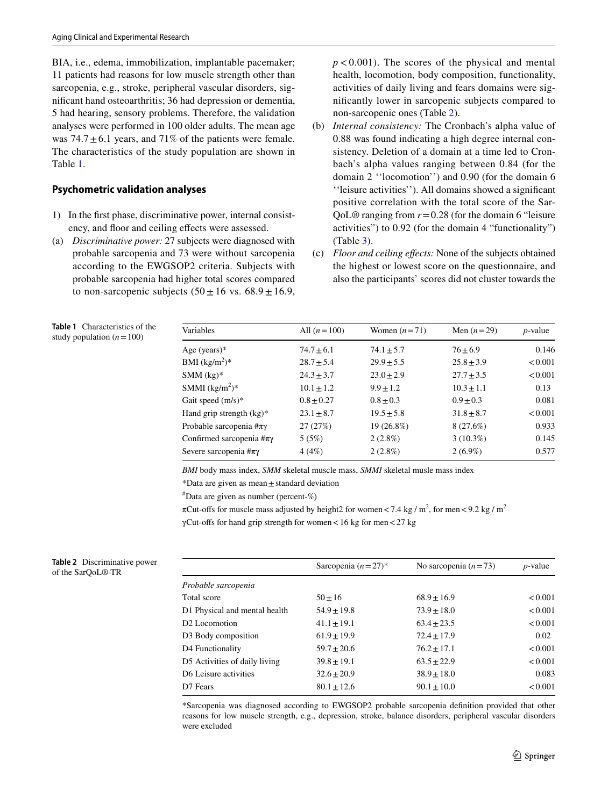BIA, i.e., edema, immobilization, implantable pacemaker; 11 patients had reasons for low muscle strength other than sarcopenia, e.g., stroke, peripheral vascular disorders, signifcant hand osteoarthritis; 36 had depression or dementia, 5 had hearing, sensory problems. Therefore, the validation analyses were performed in 100 older adults. The mean age was  $74.7 \pm 6.1$  years, and  $71\%$  of the patients were female. The characteristics of the study population are shown in Table [1](#page-4-0).

## **Psychometric validation analyses**

- 1) In the frst phase, discriminative power, internal consistency, and foor and ceiling efects were assessed.
- (a) *Discriminative power:* 27 subjects were diagnosed with probable sarcopenia and 73 were without sarcopenia according to the EWGSOP2 criteria. Subjects with probable sarcopenia had higher total scores compared to non-sarcopenic subjects  $(50 \pm 16 \text{ vs. } 68.9 \pm 16.9,$

 $p < 0.001$ ). The scores of the physical and mental health, locomotion, body composition, functionality, activities of daily living and fears domains were signifcantly lower in sarcopenic subjects compared to non-sarcopenic ones (Table [2](#page-4-1)).

- (b) *Internal consistency:* The Cronbach's alpha value of 0.88 was found indicating a high degree internal consistency. Deletion of a domain at a time led to Cronbach's alpha values ranging between 0.84 (for the domain 2 ''locomotion'') and 0.90 (for the domain 6 ''leisure activities''). All domains showed a signifcant positive correlation with the total score of the Sar-QoL $\otimes$  ranging from  $r = 0.28$  (for the domain 6 "leisure activities") to 0.92 (for the domain 4 "functionality") (Table [3\)](#page-5-0).
- (c) *Floor and ceiling efects:* None of the subjects obtained the highest or lowest score on the questionnaire, and also the participants' scores did not cluster towards the

<span id="page-4-0"></span>

|  | <b>Table 1</b> Characteristics of the |  |
|--|---------------------------------------|--|
|  | study population $(n=100)$            |  |

| Variables                          | All $(n=100)$  | Women $(n=71)$ | Men $(n=29)$   | $p$ -value |
|------------------------------------|----------------|----------------|----------------|------------|
| Age (years) $*$                    | $74.7 \pm 6.1$ | $74.1 \pm 5.7$ | $76 + 6.9$     | 0.146      |
| BMI $(kg/m^2)^*$                   | $28.7 \pm 5.4$ | $29.9 \pm 5.5$ | $25.8 \pm 3.9$ | < 0.001    |
| $SMM$ (kg)*                        | $24.3 \pm 3.7$ | $23.0 \pm 2.9$ | $27.7 \pm 3.5$ | < 0.001    |
| SMMI $(kg/m^2)^*$                  | $10.1 \pm 1.2$ | $9.9 \pm 1.2$  | $10.3 \pm 1.1$ | 0.13       |
| Gait speed $(m/s)^*$               | $0.8 \pm 0.27$ | $0.8 \pm 0.3$  | $0.9 + 0.3$    | 0.081      |
| Hand grip strength $(kg)^*$        | $23.1 \pm 8.7$ | $19.5 \pm 5.8$ | $31.8 \pm 8.7$ | < 0.001    |
| Probable sarcopenia $\#\pi\gamma$  | 27(27%)        | 19 (26.8%)     | 8 (27.6%)      | 0.933      |
| Confirmed sarcopenia $\#\pi\gamma$ | 5(5%)          | $2(2.8\%)$     | $3(10.3\%)$    | 0.145      |
| Severe sarcopenia $\#\pi\gamma$    | 4(4%)          | $2(2.8\%)$     | $2(6.9\%)$     | 0.577      |

*BMI* body mass index, *SMM* skeletal muscle mass, *SMMI* skeletal musle mass index

\*Data are given as mean±standard deviation

# Data are given as number (percent-%)

 $\pi$ Cut-offs for muscle mass adjusted by height2 for women < 7.4 kg /  $m^2$ , for men < 9.2 kg /  $m^2$ γCut-offs for hand grip strength for women <16 kg for men <27 kg

<span id="page-4-1"></span>

| Table 2 Discriminative power |  |
|------------------------------|--|
| of the SarOoL®-TR            |  |

|                               | Sarcopenia $(n=27)^*$ | No sarcopenia $(n=73)$ | $p$ -value |
|-------------------------------|-----------------------|------------------------|------------|
| Probable sarcopenia           |                       |                        |            |
| Total score                   | $50 \pm 16$           | $68.9 \pm 16.9$        | < 0.001    |
| D1 Physical and mental health | $54.9 \pm 19.8$       | $73.9 \pm 18.0$        | < 0.001    |
| D2 Locomotion                 | $41.1 \pm 19.1$       | $63.4 \pm 23.5$        | < 0.001    |
| D3 Body composition           | $61.9 \pm 19.9$       | $72.4 \pm 17.9$        | 0.02       |
| D4 Functionality              | $59.7 \pm 20.6$       | $76.2 \pm 17.1$        | < 0.001    |
| D5 Activities of daily living | $39.8 \pm 19.1$       | $63.5 \pm 22.9$        | < 0.001    |
| D6 Leisure activities         | $32.6 \pm 20.9$       | $38.9 \pm 18.0$        | 0.083      |
| D7 Fears                      | $80.1 \pm 12.6$       | $90.1 \pm 10.0$        | < 0.001    |

\*Sarcopenia was diagnosed according to EWGSOP2 probable sarcopenia defnition provided that other reasons for low muscle strength, e.g., depression, stroke, balance disorders, peripheral vascular disorders were excluded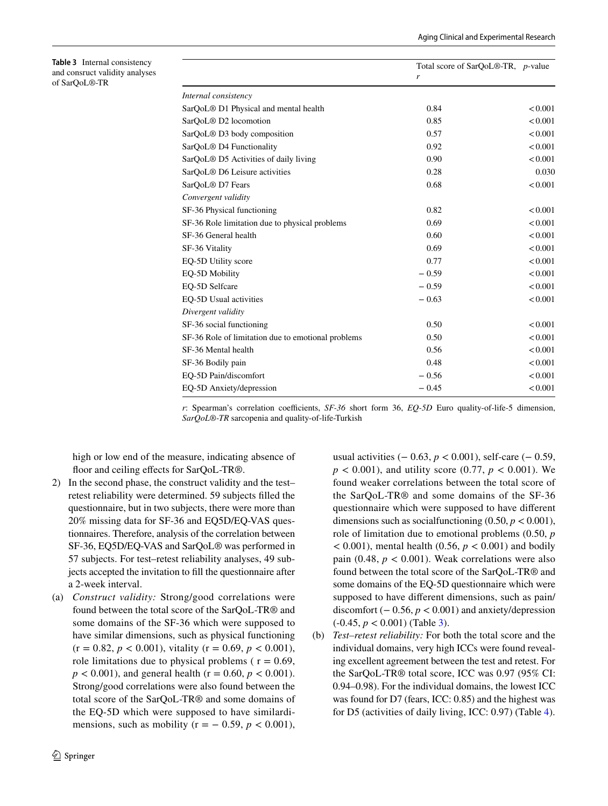|                                                    | Total score of SarOoL <sup>®</sup> -TR, <i>p</i> -value |         |
|----------------------------------------------------|---------------------------------------------------------|---------|
|                                                    | $\mathbf{r}$                                            |         |
| Internal consistency                               |                                                         |         |
| SarQoL <sup>®</sup> D1 Physical and mental health  | 0.84                                                    | < 0.001 |
| SarQoL <sup>®</sup> D2 locomotion                  | 0.85                                                    | < 0.001 |
| SarQoL <sup>®</sup> D3 body composition            | 0.57                                                    | < 0.001 |
| SarQoL <sup>®</sup> D4 Functionality               | 0.92                                                    | < 0.001 |
| SarQoL <sup>®</sup> D5 Activities of daily living  | 0.90                                                    | < 0.001 |
| SarOoL <sup>®</sup> D6 Leisure activities          | 0.28                                                    | 0.030   |
| SarOoL <sup>®</sup> D7 Fears                       | 0.68                                                    | < 0.001 |
| Convergent validity                                |                                                         |         |
| SF-36 Physical functioning                         | 0.82                                                    | < 0.001 |
| SF-36 Role limitation due to physical problems     | 0.69                                                    | < 0.001 |
| SF-36 General health                               | 0.60                                                    | < 0.001 |
| SF-36 Vitality                                     | 0.69                                                    | < 0.001 |
| EO-5D Utility score                                | 0.77                                                    | < 0.001 |
| EQ-5D Mobility                                     | $-0.59$                                                 | < 0.001 |
| EO-5D Selfcare                                     | $-0.59$                                                 | < 0.001 |
| EQ-5D Usual activities                             | $-0.63$                                                 | < 0.001 |
| Divergent validity                                 |                                                         |         |
| SF-36 social functioning                           | 0.50                                                    | < 0.001 |
| SF-36 Role of limitation due to emotional problems | 0.50                                                    | < 0.001 |
| SF-36 Mental health                                | 0.56                                                    | < 0.001 |
| SF-36 Bodily pain                                  | 0.48                                                    | < 0.001 |
| EQ-5D Pain/discomfort                              | $-0.56$                                                 | < 0.001 |
| EO-5D Anxiety/depression                           | $-0.45$                                                 | < 0.001 |

*r*: Spearman's correlation coefficients, *SF-36* short form 36, *EQ-5D* Euro quality-of-life-5 dimension, *SarQoL®-TR* sarcopenia and quality-of-life-Turkish

high or low end of the measure, indicating absence of floor and ceiling effects for SarOoL-TR®.

<span id="page-5-0"></span>**Table 3** Internal consistency and consruct validity analyses

of SarQoL®-TR

- 2) In the second phase, the construct validity and the test– retest reliability were determined. 59 subjects flled the questionnaire, but in two subjects, there were more than 20% missing data for SF-36 and EQ5D/EQ-VAS questionnaires. Therefore, analysis of the correlation between SF-36, EQ5D/EQ-VAS and SarQoL® was performed in 57 subjects. For test–retest reliability analyses, 49 subjects accepted the invitation to fll the questionnaire after a 2-week interval.
- (a) *Construct validity:* Strong/good correlations were found between the total score of the SarQoL-TR® and some domains of the SF-36 which were supposed to have similar dimensions, such as physical functioning  $(r = 0.82, p < 0.001)$ , vitality  $(r = 0.69, p < 0.001)$ , role limitations due to physical problems ( $r = 0.69$ ,  $p < 0.001$ ), and general health ( $r = 0.60$ ,  $p < 0.001$ ). Strong/good correlations were also found between the total score of the SarQoL-TR® and some domains of the EQ-5D which were supposed to have similardimensions, such as mobility ( $r = -0.59$ ,  $p < 0.001$ ),

usual activities (− 0.63, *p* < 0.001), self-care (− 0.59,  $p < 0.001$ ), and utility score (0.77,  $p < 0.001$ ). We found weaker correlations between the total score of the SarQoL-TR® and some domains of the SF-36 questionnaire which were supposed to have diferent dimensions such as socialfunctioning  $(0.50, p < 0.001)$ , role of limitation due to emotional problems (0.50, *p*  $<$  0.001), mental health (0.56,  $p$   $<$  0.001) and bodily pain (0.48,  $p < 0.001$ ). Weak correlations were also found between the total score of the SarQoL-TR® and some domains of the EQ-5D questionnaire which were supposed to have diferent dimensions, such as pain/ discomfort  $(−0.56, p < 0.001)$  and anxiety/depression (-0.45, *p* < 0.001) (Table [3\)](#page-5-0).

(b) *Test–retest reliability:* For both the total score and the individual domains, very high ICCs were found revealing excellent agreement between the test and retest. For the SarQoL-TR® total score, ICC was 0.97 (95% CI: 0.94–0.98). For the individual domains, the lowest ICC was found for D7 (fears, ICC: 0.85) and the highest was for D5 (activities of daily living, ICC: 0.97) (Table [4](#page-6-0)).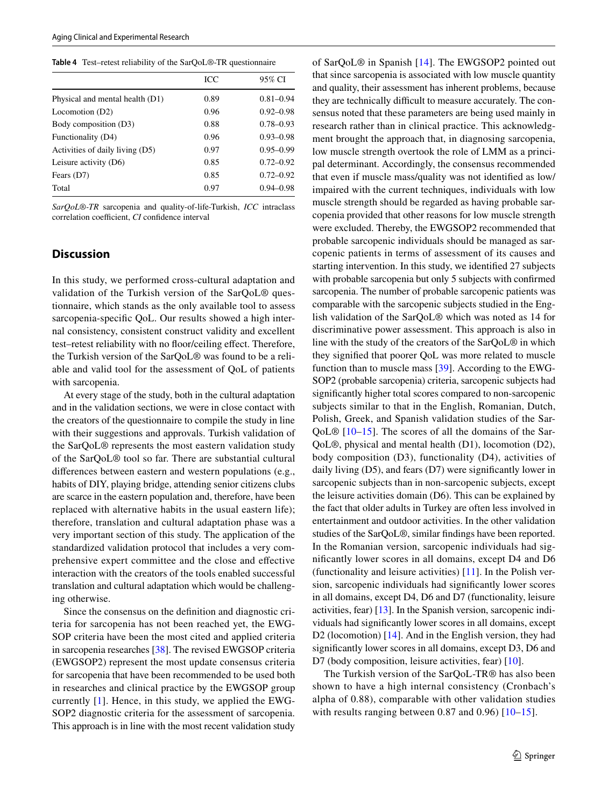<span id="page-6-0"></span>

|  | Table 4 Test-retest reliability of the SarQoL®-TR questionnaire |  |  |  |
|--|-----------------------------------------------------------------|--|--|--|
|--|-----------------------------------------------------------------|--|--|--|

|                                 | ICC  | 95% CI        |
|---------------------------------|------|---------------|
| Physical and mental health (D1) | 0.89 | $0.81 - 0.94$ |
| Locomotion (D2)                 | 0.96 | $0.92 - 0.98$ |
| Body composition (D3)           | 0.88 | $0.78 - 0.93$ |
| Functionality (D4)              | 0.96 | $0.93 - 0.98$ |
| Activities of daily living (D5) | 0.97 | $0.95 - 0.99$ |
| Leisure activity (D6)           | 0.85 | $0.72 - 0.92$ |
| Fears (D7)                      | 0.85 | $0.72 - 0.92$ |
| Total                           | 0.97 | $0.94 - 0.98$ |

*SarQoL®-TR* sarcopenia and quality-of-life-Turkish, *ICC* intraclass correlation coefficient, *CI* confidence interval

# **Discussion**

In this study, we performed cross-cultural adaptation and validation of the Turkish version of the SarQoL® questionnaire, which stands as the only available tool to assess sarcopenia-specifc QoL. Our results showed a high internal consistency, consistent construct validity and excellent test–retest reliability with no foor/ceiling efect. Therefore, the Turkish version of the SarQoL® was found to be a reliable and valid tool for the assessment of QoL of patients with sarcopenia.

At every stage of the study, both in the cultural adaptation and in the validation sections, we were in close contact with the creators of the questionnaire to compile the study in line with their suggestions and approvals. Turkish validation of the SarQoL® represents the most eastern validation study of the SarQoL® tool so far. There are substantial cultural diferences between eastern and western populations (e.g., habits of DIY, playing bridge, attending senior citizens clubs are scarce in the eastern population and, therefore, have been replaced with alternative habits in the usual eastern life); therefore, translation and cultural adaptation phase was a very important section of this study. The application of the standardized validation protocol that includes a very comprehensive expert committee and the close and efective interaction with the creators of the tools enabled successful translation and cultural adaptation which would be challenging otherwise.

Since the consensus on the defnition and diagnostic criteria for sarcopenia has not been reached yet, the EWG-SOP criteria have been the most cited and applied criteria in sarcopenia researches [\[38\]](#page-9-0). The revised EWGSOP criteria (EWGSOP2) represent the most update consensus criteria for sarcopenia that have been recommended to be used both in researches and clinical practice by the EWGSOP group currently [[1](#page-7-0)]. Hence, in this study, we applied the EWG-SOP2 diagnostic criteria for the assessment of sarcopenia. This approach is in line with the most recent validation study of SarQoL® in Spanish [\[14](#page-8-24)]. The EWGSOP2 pointed out that since sarcopenia is associated with low muscle quantity and quality, their assessment has inherent problems, because they are technically difficult to measure accurately. The consensus noted that these parameters are being used mainly in research rather than in clinical practice. This acknowledgment brought the approach that, in diagnosing sarcopenia, low muscle strength overtook the role of LMM as a principal determinant. Accordingly, the consensus recommended that even if muscle mass/quality was not identifed as low/ impaired with the current techniques, individuals with low muscle strength should be regarded as having probable sarcopenia provided that other reasons for low muscle strength were excluded. Thereby, the EWGSOP2 recommended that probable sarcopenic individuals should be managed as sarcopenic patients in terms of assessment of its causes and starting intervention. In this study, we identifed 27 subjects with probable sarcopenia but only 5 subjects with confirmed sarcopenia. The number of probable sarcopenic patients was comparable with the sarcopenic subjects studied in the English validation of the SarQoL® which was noted as 14 for discriminative power assessment. This approach is also in line with the study of the creators of the SarQoL® in which they signifed that poorer QoL was more related to muscle function than to muscle mass [[39\]](#page-9-1). According to the EWG-SOP2 (probable sarcopenia) criteria, sarcopenic subjects had signifcantly higher total scores compared to non-sarcopenic subjects similar to that in the English, Romanian, Dutch, Polish, Greek, and Spanish validation studies of the Sar-QoL® [[10](#page-8-2)–[15\]](#page-8-25). The scores of all the domains of the Sar-QoL®, physical and mental health (D1), locomotion (D2), body composition (D3), functionality (D4), activities of daily living (D5), and fears (D7) were signifcantly lower in sarcopenic subjects than in non-sarcopenic subjects, except the leisure activities domain (D6). This can be explained by the fact that older adults in Turkey are often less involved in entertainment and outdoor activities. In the other validation studies of the SarQoL®, similar fndings have been reported. In the Romanian version, sarcopenic individuals had signifcantly lower scores in all domains, except D4 and D6 (functionality and leisure activities) [\[11](#page-8-26)]. In the Polish version, sarcopenic individuals had signifcantly lower scores in all domains, except D4, D6 and D7 (functionality, leisure activities, fear) [[13\]](#page-8-27). In the Spanish version, sarcopenic individuals had signifcantly lower scores in all domains, except D2 (locomotion) [\[14](#page-8-24)]. And in the English version, they had signifcantly lower scores in all domains, except D3, D6 and D7 (body composition, leisure activities, fear) [\[10\]](#page-8-2).

The Turkish version of the SarQoL-TR® has also been shown to have a high internal consistency (Cronbach's alpha of 0.88), comparable with other validation studies with results ranging between 0.87 and 0.96)  $[10-15]$  $[10-15]$  $[10-15]$  $[10-15]$ .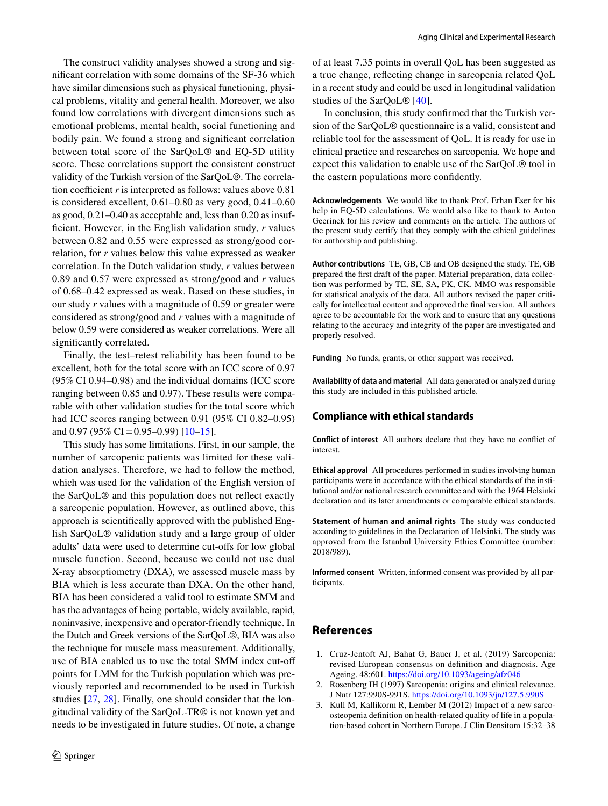The construct validity analyses showed a strong and signifcant correlation with some domains of the SF-36 which have similar dimensions such as physical functioning, physical problems, vitality and general health. Moreover, we also found low correlations with divergent dimensions such as emotional problems, mental health, social functioning and bodily pain. We found a strong and signifcant correlation between total score of the SarQoL® and EQ-5D utility score. These correlations support the consistent construct validity of the Turkish version of the SarQoL®. The correlation coefficient  $r$  is interpreted as follows: values above  $0.81$ is considered excellent, 0.61–0.80 as very good, 0.41–0.60 as good, 0.21–0.40 as acceptable and, less than 0.20 as insuffcient. However, in the English validation study, *r* values between 0.82 and 0.55 were expressed as strong/good correlation, for *r* values below this value expressed as weaker correlation. In the Dutch validation study, *r* values between 0.89 and 0.57 were expressed as strong/good and *r* values of 0.68–0.42 expressed as weak. Based on these studies, in our study *r* values with a magnitude of 0.59 or greater were considered as strong/good and *r* values with a magnitude of below 0.59 were considered as weaker correlations. Were all significantly correlated.

Finally, the test–retest reliability has been found to be excellent, both for the total score with an ICC score of 0.97 (95% CI 0.94–0.98) and the individual domains (ICC score ranging between 0.85 and 0.97). These results were comparable with other validation studies for the total score which had ICC scores ranging between 0.91 (95% CI 0.82–0.95) and 0.97 (95% CI = 0.95–0.99)  $[10-15]$  $[10-15]$  $[10-15]$ .

This study has some limitations. First, in our sample, the number of sarcopenic patients was limited for these validation analyses. Therefore, we had to follow the method, which was used for the validation of the English version of the SarQoL® and this population does not refect exactly a sarcopenic population. However, as outlined above, this approach is scientifcally approved with the published English SarQoL® validation study and a large group of older adults' data were used to determine cut-ofs for low global muscle function. Second, because we could not use dual X-ray absorptiometry (DXA), we assessed muscle mass by BIA which is less accurate than DXA. On the other hand, BIA has been considered a valid tool to estimate SMM and has the advantages of being portable, widely available, rapid, noninvasive, inexpensive and operator-friendly technique. In the Dutch and Greek versions of the SarQoL®, BIA was also the technique for muscle mass measurement. Additionally, use of BIA enabled us to use the total SMM index cut-of points for LMM for the Turkish population which was previously reported and recommended to be used in Turkish studies [[27,](#page-8-13) [28](#page-8-14)]. Finally, one should consider that the longitudinal validity of the SarQoL-TR® is not known yet and needs to be investigated in future studies. Of note, a change

of at least 7.35 points in overall QoL has been suggested as a true change, refecting change in sarcopenia related QoL in a recent study and could be used in longitudinal validation studies of the SarQoL® [[40\]](#page-9-2).

In conclusion, this study confrmed that the Turkish version of the SarQoL® questionnaire is a valid, consistent and reliable tool for the assessment of QoL. It is ready for use in clinical practice and researches on sarcopenia. We hope and expect this validation to enable use of the SarQoL® tool in the eastern populations more confdently.

**Acknowledgements** We would like to thank Prof. Erhan Eser for his help in EQ-5D calculations. We would also like to thank to Anton Geerinck for his review and comments on the article. The authors of the present study certify that they comply with the ethical guidelines for authorship and publishing.

**Author contributions** TE, GB, CB and OB designed the study. TE, GB prepared the frst draft of the paper. Material preparation, data collection was performed by TE, SE, SA, PK, CK. MMO was responsible for statistical analysis of the data. All authors revised the paper critically for intellectual content and approved the fnal version. All authors agree to be accountable for the work and to ensure that any questions relating to the accuracy and integrity of the paper are investigated and properly resolved.

**Funding** No funds, grants, or other support was received.

**Availability of data and material** All data generated or analyzed during this study are included in this published article.

### **Compliance with ethical standards**

**Conflict of interest** All authors declare that they have no confict of interest.

**Ethical approval** All procedures performed in studies involving human participants were in accordance with the ethical standards of the institutional and/or national research committee and with the 1964 Helsinki declaration and its later amendments or comparable ethical standards.

**Statement of human and animal rights** The study was conducted according to guidelines in the Declaration of Helsinki. The study was approved from the Istanbul University Ethics Committee (number: 2018/989).

**Informed consent** Written, informed consent was provided by all participants.

# **References**

- <span id="page-7-0"></span>1. Cruz-Jentoft AJ, Bahat G, Bauer J, et al. (2019) Sarcopenia: revised European consensus on defnition and diagnosis. Age Ageing. 48:601. <https://doi.org/10.1093/ageing/afz046>
- <span id="page-7-1"></span>2. Rosenberg IH (1997) Sarcopenia: origins and clinical relevance. J Nutr 127:990S-991S. <https://doi.org/10.1093/jn/127.5.990S>
- <span id="page-7-2"></span>3. Kull M, Kallikorm R, Lember M (2012) Impact of a new sarcoosteopenia defnition on health-related quality of life in a population-based cohort in Northern Europe. J Clin Densitom 15:32–38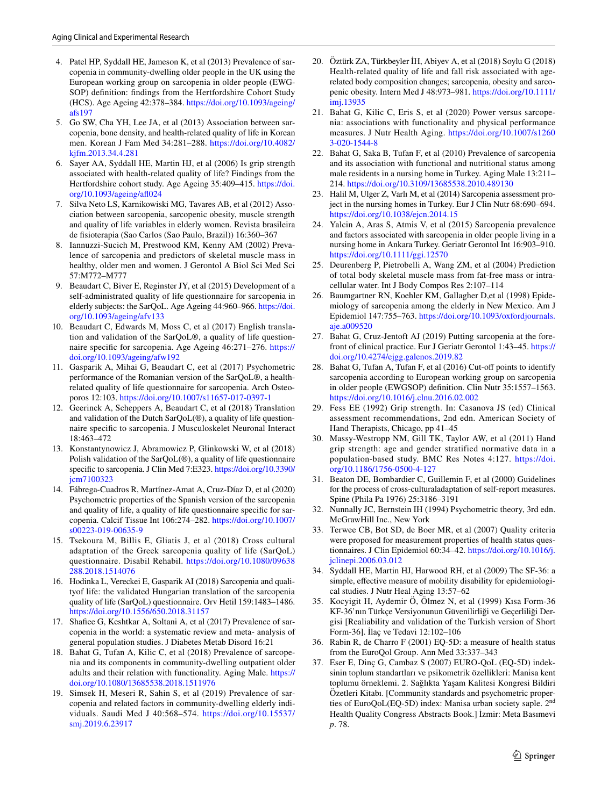- 4. Patel HP, Syddall HE, Jameson K, et al (2013) Prevalence of sarcopenia in community-dwelling older people in the UK using the European working group on sarcopenia in older people (EWG-SOP) defnition: fndings from the Hertfordshire Cohort Study (HCS). Age Ageing 42:378–384. [https://doi.org/10.1093/ageing/](https://doi.org/10.1093/ageing/afs197) [afs197](https://doi.org/10.1093/ageing/afs197)
- 5. Go SW, Cha YH, Lee JA, et al (2013) Association between sarcopenia, bone density, and health-related quality of life in Korean men. Korean J Fam Med 34:281–288. [https://doi.org/10.4082/](https://doi.org/10.4082/kjfm.2013.34.4.281) [kjfm.2013.34.4.281](https://doi.org/10.4082/kjfm.2013.34.4.281)
- 6. Sayer AA, Syddall HE, Martin HJ, et al (2006) Is grip strength associated with health-related quality of life? Findings from the Hertfordshire cohort study. Age Ageing 35:409–415. [https://doi.](https://doi.org/10.1093/ageing/afl024) [org/10.1093/ageing/af024](https://doi.org/10.1093/ageing/afl024)
- 7. Silva Neto LS, Karnikowiski MG, Tavares AB, et al (2012) Association between sarcopenia, sarcopenic obesity, muscle strength and quality of life variables in elderly women. Revista brasileira de fsioterapia (Sao Carlos (Sao Paulo, Brazil)) 16:360–367
- <span id="page-8-0"></span>8. Iannuzzi-Sucich M, Prestwood KM, Kenny AM (2002) Prevalence of sarcopenia and predictors of skeletal muscle mass in healthy, older men and women. J Gerontol A Biol Sci Med Sci 57:M772–M777
- <span id="page-8-1"></span>9. Beaudart C, Biver E, Reginster JY, et al (2015) Development of a self-administrated quality of life questionnaire for sarcopenia in elderly subjects: the SarQoL. Age Ageing 44:960–966. [https://doi.](https://doi.org/10.1093/ageing/afv133) [org/10.1093/ageing/afv133](https://doi.org/10.1093/ageing/afv133)
- <span id="page-8-2"></span>10. Beaudart C, Edwards M, Moss C, et al (2017) English translation and validation of the SarQoL®, a quality of life questionnaire specifc for sarcopenia. Age Ageing 46:271–276. [https://](https://doi.org/10.1093/ageing/afw192) [doi.org/10.1093/ageing/afw192](https://doi.org/10.1093/ageing/afw192)
- <span id="page-8-26"></span>11. Gasparik A, Mihai G, Beaudart C, eet al (2017) Psychometric performance of the Romanian version of the SarQoL®, a healthrelated quality of life questionnaire for sarcopenia. Arch Osteoporos 12:103.<https://doi.org/10.1007/s11657-017-0397-1>
- 12. Geerinck A, Scheppers A, Beaudart C, et al (2018) Translation and validation of the Dutch SarQoL(®), a quality of life questionnaire specifc to sarcopenia. J Musculoskelet Neuronal Interact 18:463–472
- <span id="page-8-27"></span>13. Konstantynowicz J, Abramowicz P, Glinkowski W, et al (2018) Polish validation of the SarQoL(®), a quality of life questionnaire specifc to sarcopenia. J Clin Med 7:E323. [https://doi.org/10.3390/](https://doi.org/10.3390/jcm7100323) [jcm7100323](https://doi.org/10.3390/jcm7100323)
- <span id="page-8-24"></span>14. Fábrega-Cuadros R, Martínez-Amat A, Cruz-Díaz D, et al (2020) Psychometric properties of the Spanish version of the sarcopenia and quality of life, a quality of life questionnaire specifc for sarcopenia. Calcif Tissue Int 106:274–282. [https://doi.org/10.1007/](https://doi.org/10.1007/s00223-019-00635-9) [s00223-019-00635-9](https://doi.org/10.1007/s00223-019-00635-9)
- <span id="page-8-25"></span>15. Tsekoura M, Billis E, Gliatis J, et al (2018) Cross cultural adaptation of the Greek sarcopenia quality of life (SarQoL) questionnaire. Disabil Rehabil. [https://doi.org/10.1080/09638](https://doi.org/10.1080/09638288.2018.1514076) [288.2018.1514076](https://doi.org/10.1080/09638288.2018.1514076)
- <span id="page-8-3"></span>16. Hodinka L, Vereckei E, Gasparik AI (2018) Sarcopenia and qualityof life: the validated Hungarian translation of the sarcopenia quality of life (SarQoL) questionnaire. Orv Hetil 159:1483–1486. <https://doi.org/10.1556/650.2018.31157>
- <span id="page-8-4"></span>17. Shafee G, Keshtkar A, Soltani A, et al (2017) Prevalence of sarcopenia in the world: a systematic review and meta- analysis of general population studies. J Diabetes Metab Disord 16:21
- <span id="page-8-5"></span>18. Bahat G, Tufan A, Kilic C, et al (2018) Prevalence of sarcopenia and its components in community-dwelling outpatient older adults and their relation with functionality. Aging Male. [https://](https://doi.org/10.1080/13685538.2018.1511976) [doi.org/10.1080/13685538.2018.1511976](https://doi.org/10.1080/13685538.2018.1511976)
- 19. Simsek H, Meseri R, Sahin S, et al (2019) Prevalence of sarcopenia and related factors in community-dwelling elderly individuals. Saudi Med J 40:568–574. [https://doi.org/10.15537/](https://doi.org/10.15537/smj.2019.6.23917) [smj.2019.6.23917](https://doi.org/10.15537/smj.2019.6.23917)
- <span id="page-8-6"></span>20. Öztürk ZA, Türkbeyler İH, Abiyev A, et al (2018) Soylu G (2018) Health-related quality of life and fall risk associated with agerelated body composition changes; sarcopenia, obesity and sarcopenic obesity. Intern Med J 48:973–981. [https://doi.org/10.1111/](https://doi.org/10.1111/imj.13935) [imj.13935](https://doi.org/10.1111/imj.13935)
- <span id="page-8-7"></span>21. Bahat G, Kilic C, Eris S, et al (2020) Power versus sarcopenia: associations with functionality and physical performance measures. J Nutr Health Aging. [https://doi.org/10.1007/s1260](https://doi.org/10.1007/s12603-020-1544-8) [3-020-1544-8](https://doi.org/10.1007/s12603-020-1544-8)
- <span id="page-8-8"></span>22. Bahat G, Saka B, Tufan F, et al (2010) Prevalence of sarcopenia and its association with functional and nutritional status among male residents in a nursing home in Turkey. Aging Male 13:211– 214.<https://doi.org/10.3109/13685538.2010.489130>
- <span id="page-8-9"></span>23. Halil M, Ulger Z, Varlı M, et al (2014) Sarcopenia assessment project in the nursing homes in Turkey. Eur J Clin Nutr 68:690–694. <https://doi.org/10.1038/ejcn.2014.15>
- <span id="page-8-10"></span>24. Yalcin A, Aras S, Atmis V, et al (2015) Sarcopenia prevalence and factors associated with sarcopenia in older people living in a nursing home in Ankara Turkey. Geriatr Gerontol Int 16:903–910. <https://doi.org/10.1111/ggi.12570>
- <span id="page-8-11"></span>25. Deurenberg P, Pietrobelli A, Wang ZM, et al (2004) Prediction of total body skeletal muscle mass from fat-free mass or intracellular water. Int J Body Compos Res 2:107–114
- <span id="page-8-12"></span>26. Baumgartner RN, Koehler KM, Gallagher D,et al (1998) Epidemiology of sarcopenia among the elderly in New Mexico. Am J Epidemiol 147:755–763. [https://doi.org/10.1093/oxfordjournals.](https://doi.org/10.1093/oxfordjournals.aje.a009520) [aje.a009520](https://doi.org/10.1093/oxfordjournals.aje.a009520)
- <span id="page-8-13"></span>27. Bahat G, Cruz-Jentoft AJ (2019) Putting sarcopenia at the forefront of clinical practice. Eur J Geriatr Gerontol 1:43–45. [https://](https://doi.org/10.4274/ejgg.galenos.2019.82) [doi.org/10.4274/ejgg.galenos.2019.82](https://doi.org/10.4274/ejgg.galenos.2019.82)
- <span id="page-8-14"></span>28. Bahat G, Tufan A, Tufan F, et al (2016) Cut-off points to identify sarcopenia according to European working group on sarcopenia in older people (EWGSOP) defnition. Clin Nutr 35:1557–1563. <https://doi.org/10.1016/j.clnu.2016.02.002>
- <span id="page-8-15"></span>29. Fess EE (1992) Grip strength. In: Casanova JS (ed) Clinical assessment recommendations, 2nd edn. American Society of Hand Therapists, Chicago, pp 41–45
- <span id="page-8-16"></span>30. Massy-Westropp NM, Gill TK, Taylor AW, et al (2011) Hand grip strength: age and gender stratified normative data in a population-based study. BMC Res Notes 4:127. [https://doi.](https://doi.org/10.1186/1756-0500-4-127) [org/10.1186/1756-0500-4-127](https://doi.org/10.1186/1756-0500-4-127)
- <span id="page-8-17"></span>31. Beaton DE, Bombardier C, Guillemin F, et al (2000) Guidelines for the process of cross-culturaladaptation of self-report measures. Spine (Phila Pa 1976) 25:3186–3191
- <span id="page-8-18"></span>32. Nunnally JC, Bernstein IH (1994) Psychometric theory, 3rd edn. McGrawHill Inc., New York
- <span id="page-8-19"></span>33. Terwee CB, Bot SD, de Boer MR, et al (2007) Quality criteria were proposed for measurement properties of health status questionnaires. J Clin Epidemiol 60:34–42. [https://doi.org/10.1016/j.](https://doi.org/10.1016/j.jclinepi.2006.03.012) [jclinepi.2006.03.012](https://doi.org/10.1016/j.jclinepi.2006.03.012)
- <span id="page-8-20"></span>34. Syddall HE, Martin HJ, Harwood RH, et al (2009) The SF-36: a simple, effective measure of mobility disability for epidemiological studies. J Nutr Heal Aging 13:57–62
- <span id="page-8-21"></span>35. Kocyigit H, Aydemir Ö, Ölmez N, et al (1999) Kısa Form-36 KF-36'nın Türkçe Versiyonunun Güvenilirliği ve Geçerliliği Dergisi [Realiability and validation of the Turkish version of Short Form-36]. İlaç ve Tedavi 12:102–106
- <span id="page-8-22"></span>36. Rabin R, de Charro F (2001) EQ-5D: a measure of health status from the EuroQol Group. Ann Med 33:337–343
- <span id="page-8-23"></span>37. Eser E, Dinç G, Cambaz S (2007) EURO-QoL (EQ-5D) indeksinin toplum standartları ve psikometrik özellikleri: Manisa kent toplumu örneklemi. 2. Sağlıkta Yaşam Kalitesi Kongresi Bildiri Özetleri Kitabı. [Community standards and psychometric properties of EuroQoL(EQ-5D) index: Manisa urban society saple. 2nd Health Quality Congress Abstracts Book.] İzmir: Meta Basımevi *p*. 78.